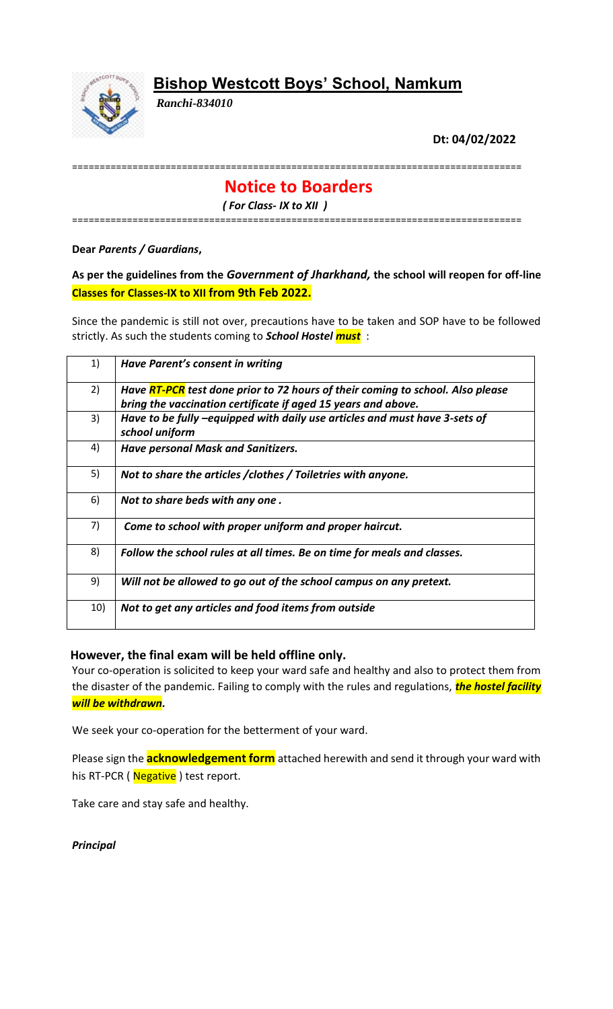# **Bishop Westcott Boys' School, Namkum**



*Ranchi-834010*

**Dt: 04/02/2022**

==================================================================================

## **Notice to Boarders**

*( For Class- IX to XII )*

==================================================================================

**Dear** *Parents / Guardians***,**

**As per the guidelines from the** *Government of Jharkhand,* **the school will reopen for off-line Classes for Classes-IX to XII from 9th Feb 2022.**

Since the pandemic is still not over, precautions have to be taken and SOP have to be followed strictly. As such the students coming to *School Hostel must* :

| 1)  | Have Parent's consent in writing                                                                                                                |
|-----|-------------------------------------------------------------------------------------------------------------------------------------------------|
| 2)  | Have RT-PCR test done prior to 72 hours of their coming to school. Also please<br>bring the vaccination certificate if aged 15 years and above. |
| 3)  | Have to be fully -equipped with daily use articles and must have 3-sets of<br>school uniform                                                    |
| 4)  | <b>Have personal Mask and Sanitizers.</b>                                                                                                       |
| 5)  | Not to share the articles / clothes / Toiletries with anyone.                                                                                   |
| 6)  | Not to share beds with any one.                                                                                                                 |
| 7)  | Come to school with proper uniform and proper haircut.                                                                                          |
| 8)  | Follow the school rules at all times. Be on time for meals and classes.                                                                         |
| 9)  | Will not be allowed to go out of the school campus on any pretext.                                                                              |
| 10) | Not to get any articles and food items from outside                                                                                             |

#### **However, the final exam will be held offline only.**

Your co-operation is solicited to keep your ward safe and healthy and also to protect them from the disaster of the pandemic. Failing to comply with the rules and regulations, *the hostel facility will be withdrawn.*

We seek your co-operation for the betterment of your ward.

Please sign the **acknowledgement form** attached herewith and send it through your ward with his RT-PCR (Negative) test report.

Take care and stay safe and healthy.

*Principal*